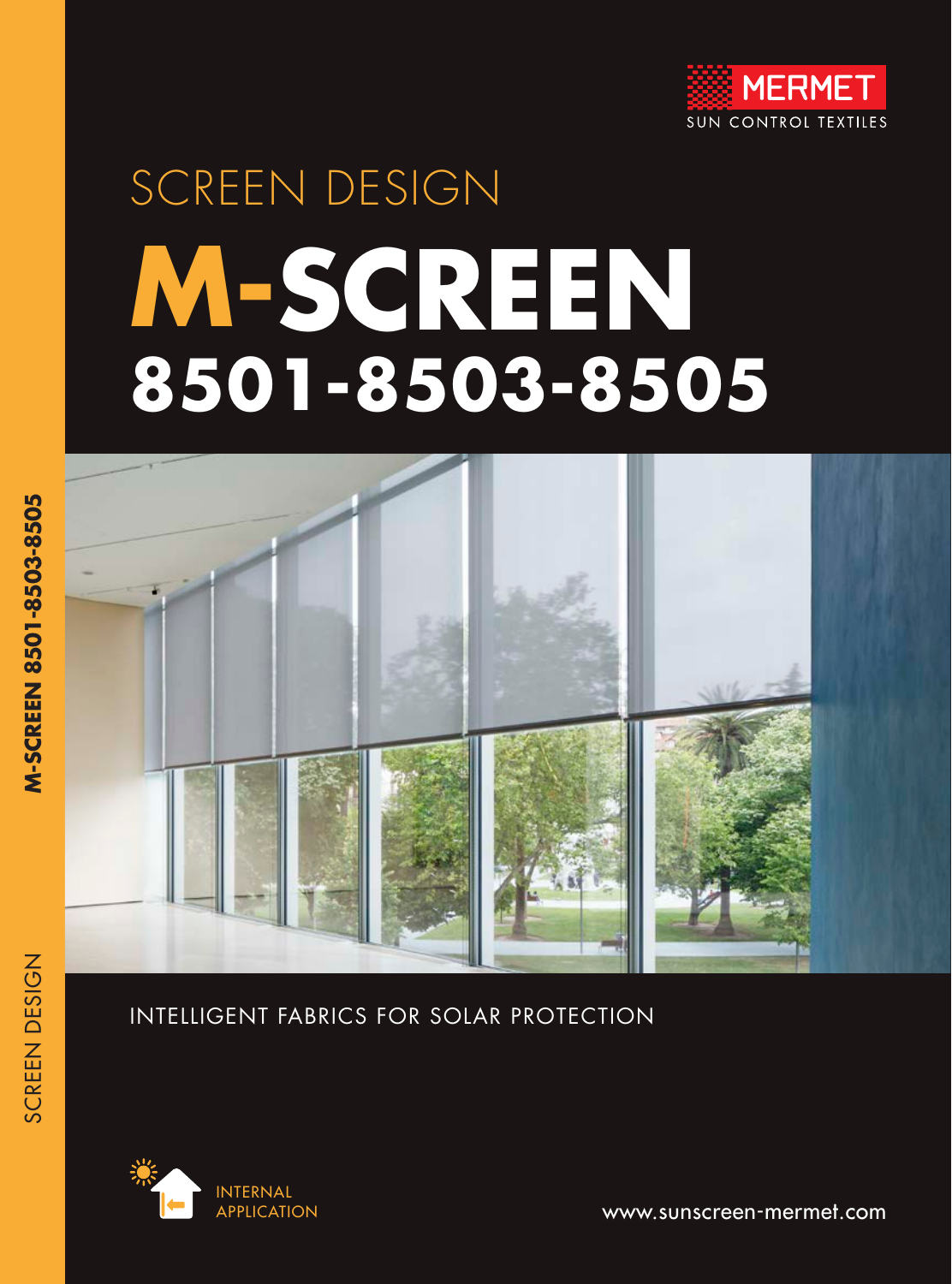

# SCREEN DESIGN **M-SCREEN 8501-8503-8505**



#### INTELLIGENT FABRICS FOR SOLAR PROTECTION



APPLICATION **www.sunscreen-mermet.com** 

SCREEN DESIGN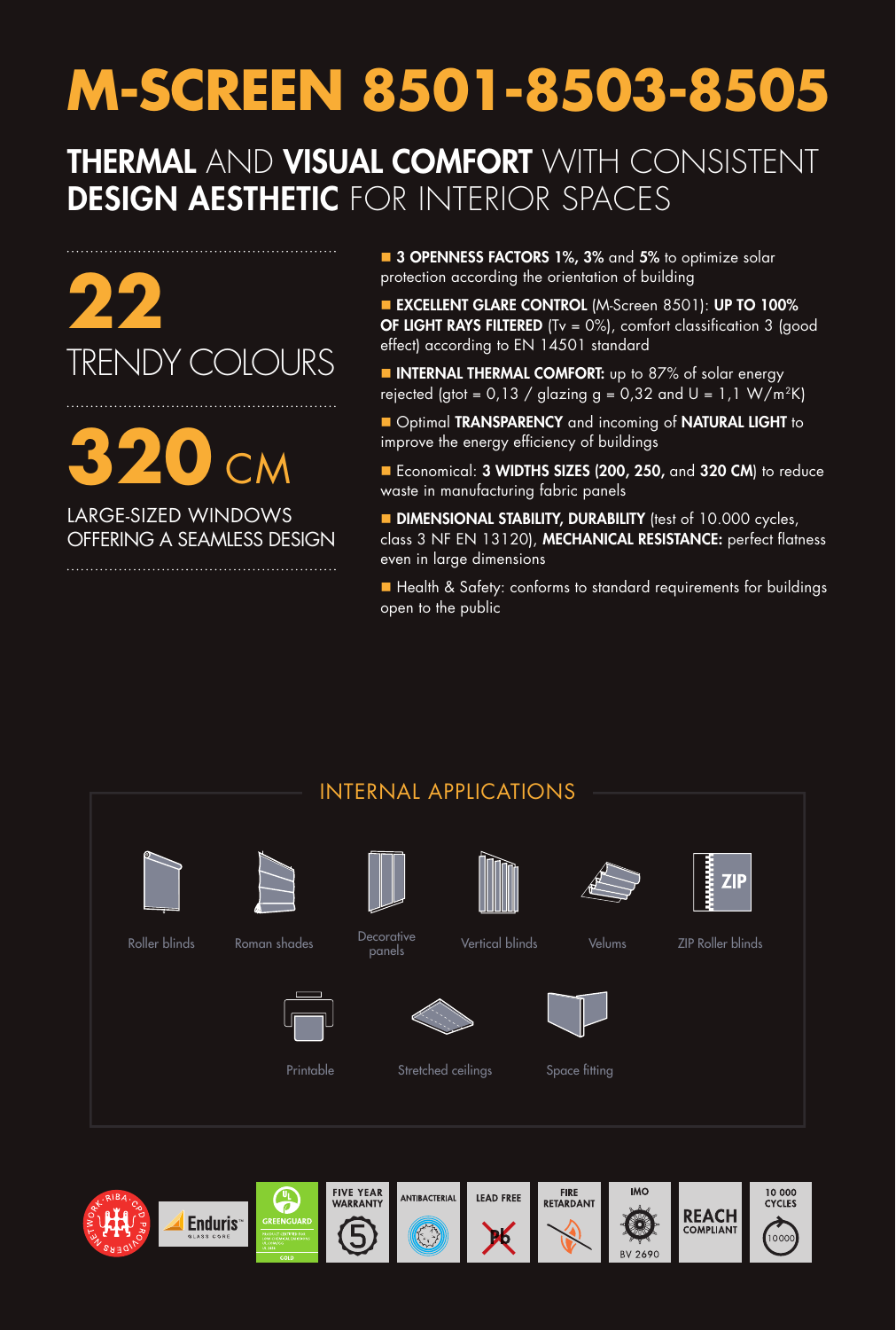# **M-SCREEN 8501-8503-8505**

### THERMAL AND VISUAL COMFORT WITH CONSISTENT DESIGN AESTHETIC FOR INTERIOR SPACES

**22**  TRENDY COLOURS

**320** CM LARGE-SIZED WINDOWS

OFFERING A SEAMLESS DESIGN  **3 OPENNESS FACTORS 1%, 3% and 5% to optimize solar** protection according the orientation of building

**EXCELLENT GLARE CONTROL (M-Screen 8501): UP TO 100% OF LIGHT RAYS FILTERED** (Tv =  $0\%$ ), comfort classification 3 (good effect) according to EN 14501 standard

**NITERNAL THERMAL COMFORT:** up to 87% of solar energy rejected (gtot =  $0.13 /$  glazing g =  $0.32$  and U =  $1.1$  W/m<sup>2</sup>K)

**n** Optimal TRANSPARENCY and incoming of NATURAL LIGHT to improve the energy efficiency of buildings

■ Economical: 3 WIDTHS SIZES (200, 250, and 320 CM) to reduce waste in manufacturing fabric panels

**DIMENSIONAL STABILITY, DURABILITY** (test of 10.000 cycles, class 3 NF EN 13120), MECHANICAL RESISTANCE: perfect flatness even in large dimensions

■ Health & Safety: conforms to standard requirements for buildings open to the public



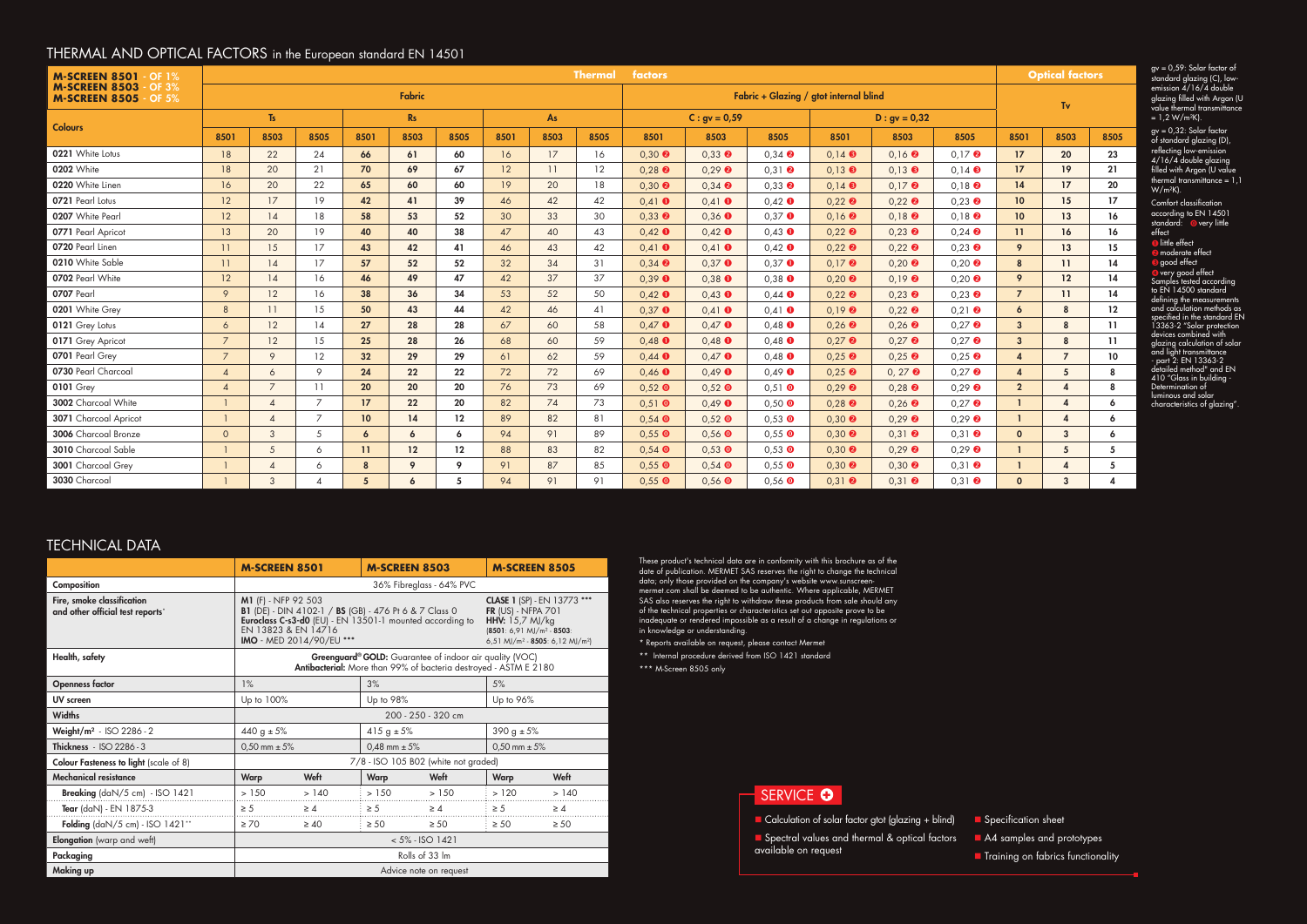gv = 0,59: Solar factor of standard glazing (C), lowemission 4/16/4 double glazing filled with Argon (U value thermal transmittance  $= 1.2 W/m<sup>2</sup>K$ ).

| <b>M-SCREEN 8501</b><br>$\cdot$ OF 1%<br><b>M-SCREEN 8503</b><br><b>OF 3%</b><br><b>M-SCREEN 8505</b><br>OF $5%$ | <b>Thermal</b><br>factors |                          |                          |                 |      |                 |           |      |      |                                        |                |                                      | <b>Optical factors</b>               |                                       |                                      |                        |                   |                 |
|------------------------------------------------------------------------------------------------------------------|---------------------------|--------------------------|--------------------------|-----------------|------|-----------------|-----------|------|------|----------------------------------------|----------------|--------------------------------------|--------------------------------------|---------------------------------------|--------------------------------------|------------------------|-------------------|-----------------|
|                                                                                                                  | Fabric                    |                          |                          |                 |      |                 |           |      |      | Fabric + Glazing / gtot internal blind |                |                                      |                                      |                                       | Tv                                   |                        |                   |                 |
| <b>Colours</b>                                                                                                   | $\mathsf{Ts}$             |                          |                          | <b>Rs</b>       |      |                 | <b>As</b> |      |      | $C: gy = 0.59$                         |                |                                      | $D : gv = 0,32$                      |                                       |                                      |                        |                   |                 |
|                                                                                                                  | 8501                      | 8503                     | 8505                     | 8501            | 8503 | 8505            | 8501      | 8503 | 8505 | 8501                                   | 8503           | 8505                                 | 8501                                 | 8503                                  | 8505                                 | 8501                   | 8503              | 8505            |
| 0221 White Lotus                                                                                                 | 18                        | 22                       | 24                       | 66              | 61   | 60              | 16        | 17   | 16   | $0,30$ <sup><math>\odot</math></sup>   | $0.33$ $\odot$ | $0,34$ <sup><math>\odot</math></sup> | $0,14$ $\Theta$                      | $0,16$ $\odot$                        | $0.17$ <sup><math>\odot</math></sup> | 17                     | 20 <sub>2</sub>   | 23              |
| 0202 White                                                                                                       | 18                        | 20                       | 21                       | 70              | 69   | 67              | 12        | 11   | 12   | $0,28$ $\bullet$                       | $0,29$ $\odot$ | $0,31$ <b><math>\odot</math></b>     | $0.13$ $\Theta$                      | $0,13$ $\bullet$                      | $0.14$ $\odot$                       | 17                     | 19 <sup>°</sup>   | 21              |
| 0220 White Linen                                                                                                 | 16                        | 20                       | 22                       | 65              | 60   | 60              | 19        | 20   | 18   | $0,30$ $\odot$                         | $0,34$ $\odot$ | $0,33$ $\bullet$                     | $0,14$ $\odot$                       | $0,17$ $\odot$                        | $0,18$ $\odot$                       | 14                     | 17                | 20              |
| 0721 Pearl Lotus                                                                                                 | 12                        | 17                       | 19                       | 42              | 41   | 39              | 46        | 42   | 42   | $0,41$ 0                               | $0.41$ 0       | $0,42$ $\bullet$                     | $0,22$ <sup><math>\odot</math></sup> | $0,22$ $\bullet$                      | $0.23$ <sup><math>\odot</math></sup> | 10 <sup>°</sup>        | 15                | 17              |
| 0207 White Pearl                                                                                                 | 12                        | 14                       | 18                       | 58              | 53   | 52              | 30        | 33   | 30   | $0,33$ <sup><math>\odot</math></sup>   | $0,36$ O       | $0,37$ O                             | $0,16$ <b><math>\odot</math></b>     | $0,18$ $\odot$                        | $0,18$ $\odot$                       | 10 <sup>°</sup>        | 13                | 16              |
| 0771 Pearl Apricot                                                                                               | 13                        | 20                       | 19                       | 40              | 40   | 38              | 47        | 40   | 43   | $0,42$ 0                               | $0,42$ 0       | $0,43$ $\bullet$                     | $0,22$ <sup><math>\odot</math></sup> | $0,23$ $\odot$                        | $0,24$ $\odot$                       | 11                     | 16                | 16              |
| 0720 Pearl Linen                                                                                                 | 11                        | 15                       | 17                       | 43              | 42   | 41              | 46        | 43   | 42   | $0,41$ 0                               | $0,41$ 0       | $0,42$ $\bullet$                     | $0,22$ <sup><math>\odot</math></sup> | $0,22$ <sup><math>\odot</math></sup>  | $0.23$ $\Theta$                      | 9                      | 13                | 15 <sub>1</sub> |
| 0210 White Sable                                                                                                 | 11                        | 14                       | 17                       | 57              | 52   | 52              | 32        | 34   | 31   | $0,34$ <sup><math>\odot</math></sup>   | $0,37$ O       | $0.37$ O                             | $0.17$ <sup><math>\odot</math></sup> | $0,20$ $\odot$                        | $0.20$ $\odot$                       | 8                      | 11                | 14              |
| 0702 Pearl White                                                                                                 | 12                        | 14                       | 16                       | 46              | 49   | 47              | 42        | 37   | 37   | $0,39$ $\bullet$                       | $0,38$ O       | $0,38$ $\bullet$                     | $0,20$ <sup><math>\odot</math></sup> | $0,19$ <b><math>\odot</math></b>      | $0,20$ $\odot$                       | 9                      | $12 \overline{ }$ | 14              |
| 0707 Pearl                                                                                                       | 9                         | 12                       | 16                       | 38              | 36   | 34              | 53        | 52   | 50   | $0,42$ 0                               | $0,43$ O       | $0,44$ $\bullet$                     | $0,22$ <sup><math>\odot</math></sup> | $0,23$ $\bullet$                      | $0.23$ $\bullet$                     | $\overline{7}$         | 11                | 14              |
| 0201 White Grey                                                                                                  | 8                         | 11                       | 15                       | 50              | 43   | 44              | 42        | 46   | 41   | $0,37$ O                               | $0,41$ 0       | $0,41$ 0                             | $0,19$ <b><math>\odot</math></b>     | $0,22$ $\odot$                        | $0,21$ <b><math>\odot</math></b>     | $\boldsymbol{6}$       | 8                 | $12 \,$         |
| 0121 Grey Lotus                                                                                                  | 6                         | 12                       | 14                       | 27              | 28   | 28              | 67        | 60   | 58   | $0,47$ O                               | $0.47$ O       | $0,48$ $\bullet$                     | $0,26$ <b><math>\odot</math></b>     | $0,26$ $\odot$                        | $0.27$ <sup><math>\odot</math></sup> | $\overline{3}$         | 8                 | 11              |
| 0171 Grey Apricot                                                                                                | $\overline{7}$            | 12                       | 15                       | 25              | 28   | 26              | 68        | 60   | 59   | $0,48$ $\bullet$                       | $0,48$ O       | $0,48$ $\bullet$                     | $0,27$ <sup><math>\odot</math></sup> | $0,27$ $\odot$                        | $0.27$ 2                             | $\mathbf{3}$           | 8                 | 11              |
| 0701 Pearl Grey                                                                                                  | $\overline{7}$            | 9                        | 12                       | 32 <sub>2</sub> | 29   | 29              | 61        | 62   | 59   | $0,44$ $\bullet$                       | $0,47$ 0       | $0,48$ $\bullet$                     | $0,25$ <sup><math>\odot</math></sup> | $0,25$ $\odot$                        | $0.25$ $\odot$                       | $\overline{4}$         | $\overline{7}$    | 10              |
| 0730 Pearl Charcoal                                                                                              | $\overline{4}$            | 6                        | 9                        | 24              | 22   | 22              | 72        | 72   | 69   | $0,46$ $\bullet$                       | $0,49$ 0       | $0,49$ $\bullet$                     | $0,25$ <sup><math>\odot</math></sup> | $0, 27$ <sup><math>\odot</math></sup> | $0.27$ $\odot$                       | $\boldsymbol{\Lambda}$ | 5                 | 8               |
| <b>0101 Grey</b>                                                                                                 | $\overline{4}$            | $\overline{7}$           | 11                       | 20 <sub>2</sub> | 20   | 20              | 76        | 73   | 69   | $0,52$ O                               | $0,52$ O       | $0,51$ O                             | $0,29$ <b><math>\odot</math></b>     | $0,28$ $\odot$                        | $0,29$ <b><math>\odot</math></b>     | $\overline{2}$         |                   | 8               |
| 3002 Charcoal White                                                                                              | $\mathbf{1}$              | $\overline{4}$           | $\overline{7}$           | 17 <sup>2</sup> | 22   | 20              | 82        | 74   | 73   | $0,51$ 0                               | $0,49$ 0       | $0,50$ O                             | $0,28$ $\bullet$                     | $0,26$ $\odot$                        | $0.27$ $\odot$                       | -1                     | Δ                 | 6               |
| 3071 Charcoal Apricot                                                                                            | $\overline{1}$            | $\boldsymbol{\varDelta}$ | $\overline{7}$           | 10 <sup>°</sup> | 14   | 12              | 89        | 82   | 81   | $0,54$ O                               | $0,52$ O       | $0,53$ O                             | $0,30$ $\odot$                       | $0,29$ $\odot$                        | $0,29$ $\odot$                       | -1                     |                   | 6               |
| 3006 Charcoal Bronze                                                                                             | $\circ$                   | 3                        | 5                        | 6               | 6    | 6               | 94        | 91   | 89   | $0,55$ O                               | $0,56$ O       | $0,55$ O                             | $0,30$ $\odot$                       | $0,31$ <sup><math>\odot</math></sup>  | $0.31$ <sup><math>\odot</math></sup> | $\mathbf{0}$           | 3                 | 6               |
| 3010 Charcoal Sable                                                                                              | $\overline{1}$            | 5                        | 6                        | $\mathbf{11}$   | 12   | 12              | 88        | 83   | 82   | $0,54$ O                               | $0,53$ O       | $0,53$ O                             | $0,30$ <b><math>\odot</math></b>     | $0,29$ $\odot$                        | $0.29$ <b><math>\odot</math></b>     | n                      | 5                 | 5               |
| 3001 Charcoal Grey                                                                                               |                           | $\overline{4}$           | 6                        | 8               | 9    | 9               | 91        | 87   | 85   | $0,55$ O                               | $0,54$ O       | $0,55$ O                             | $0,30$ <sup><math>\odot</math></sup> | $0,30$ $\odot$                        | $0,31$ <b><math>\odot</math></b>     |                        |                   | 5               |
| 3030 Charcoal                                                                                                    |                           | 3                        | $\boldsymbol{\varDelta}$ | $5^{\circ}$     | 6    | $5\phantom{.0}$ | 94        | 91   | 91   | $0.55$ O                               | $0.56$ O       | $0.56$ $\bullet$                     | $0.31$ <sup><math>\odot</math></sup> | $0.31$ <sup><math>\odot</math></sup>  | $0.31$ <sup><math>\odot</math></sup> | $\mathbf{0}$           | 3                 |                 |

- $\blacksquare$  Calculation of solar factor gtot (glazing + blind) **n** Spectral values and thermal & optical factors available on request
	-

#### THERMAL AND OPTICAL FACTORS in the European standard EN 14501

gv = 0,32: Solar factor of standard glazing (D), reflecting low-emission 4/16/4 double glazing filled with Argon (U value thermal transmittance = 1,1 W/m²K).

Comfort classification according to EN 14501 standard: overy little effect **O** little effect **2** moderate effect **g**ood effect very good effect Samples tested according to EN 14500 standard defining the measurements and calculation methods as specified in the standard EN 13363-2 "Solar protection devices combined with glazing calculation of solar and light transmittance - part 2: EN 13363-2 detailed method" and EN 410 "Glass in building - Determination of luminous and solar characteristics of glazing".

**n** Specification sheet

A4 samples and prototypes

**n** Training on fabrics functionality

These product's technical data are in conformity with this brochure as of the date of publication. MERMET SAS reserves the right to change the technical data; only those provided on the company's website www.sunscreenmermet.com shall be deemed to be authentic. Where applicable, MERMET SAS also reserves the right to withdraw these products from sale should any of the technical properties or characteristics set out opposite prove to be inadequate or rendered impossible as a result of a change in regulations or in knowledge or understanding.

\* Reports available on request, please contact Mermet

\*\* Internal procedure derived from ISO 1421 standard

\*\*\* M-Screen 8505 only

#### SERVICE **O**

|                                                                | <b>M-SCREEN 8501</b>                                                                                                        |                                                                                                                                                             | <b>M-SCREEN 8503</b>                                                                                                                                                                           |           | <b>M-SCREEN 8505</b> |           |  |  |  |
|----------------------------------------------------------------|-----------------------------------------------------------------------------------------------------------------------------|-------------------------------------------------------------------------------------------------------------------------------------------------------------|------------------------------------------------------------------------------------------------------------------------------------------------------------------------------------------------|-----------|----------------------|-----------|--|--|--|
| Composition                                                    | 36% Fibreglass - 64% PVC                                                                                                    |                                                                                                                                                             |                                                                                                                                                                                                |           |                      |           |  |  |  |
| Fire, smoke classification<br>and other official test reports* | <b>M1</b> (F) - NFP 92 503<br>EN 13823 & EN 14716                                                                           | <b>B1</b> (DE) - DIN 4102-1 / <b>BS</b> (GB) - 476 Pt 6 & 7 Class 0<br>Euroclass C-s3-d0 (EU) - EN 13501-1 mounted according to<br>IMO - MED 2014/90/EU *** | <b>CLASE 1 (SP) - EN 13773 ***</b><br><b>FR (US) - NFPA 701</b><br><b>HHV:</b> 15,7 $M/kg$<br>$(8501: 6, 91 \text{ MJ/m}^2 - 8503:$<br>6,51 MJ/m <sup>2</sup> - 8505: 6,12 MJ/m <sup>2</sup> ) |           |                      |           |  |  |  |
| Health, safety                                                 | Greenguard® GOLD: Guarantee of indoor air quality (VOC)<br>Antibacterial: More than 99% of bacteria destroyed - ASTM E 2180 |                                                                                                                                                             |                                                                                                                                                                                                |           |                      |           |  |  |  |
| <b>Openness factor</b>                                         | 1%                                                                                                                          |                                                                                                                                                             | 3%                                                                                                                                                                                             |           | 5%                   |           |  |  |  |
| UV screen                                                      | Up to 100%                                                                                                                  |                                                                                                                                                             | Up to 98%                                                                                                                                                                                      |           | Up to 96%            |           |  |  |  |
| <b>Widths</b>                                                  | 200 - 250 - 320 cm                                                                                                          |                                                                                                                                                             |                                                                                                                                                                                                |           |                      |           |  |  |  |
| Weight/m <sup>2</sup> - ISO 2286 - 2                           | 440 g $\pm$ 5%                                                                                                              |                                                                                                                                                             | 415 g $\pm$ 5%                                                                                                                                                                                 |           | 390 g $\pm$ 5%       |           |  |  |  |
| Thickness - ISO 2286 - 3                                       | $0,50$ mm $\pm 5%$                                                                                                          |                                                                                                                                                             | $0.48$ mm $\pm 5\%$                                                                                                                                                                            |           | $0.50$ mm $\pm 5%$   |           |  |  |  |
| <b>Colour Fasteness to light (scale of 8)</b>                  | 7/8 - ISO 105 B02 (white not graded)                                                                                        |                                                                                                                                                             |                                                                                                                                                                                                |           |                      |           |  |  |  |
| <b>Mechanical resistance</b>                                   | <b>Warp</b>                                                                                                                 | Weft                                                                                                                                                        | Warp                                                                                                                                                                                           | Weft      | <b>Warp</b>          | Weft      |  |  |  |
| <b>Breaking</b> $\frac{d}{dN}$ (daN/5 cm) - ISO 1421           | > 150                                                                                                                       | >140                                                                                                                                                        | >150                                                                                                                                                                                           | > 150     | >120                 | >140      |  |  |  |
| Tear (daN) - EN 1875-3                                         | $\geq 5$                                                                                                                    | $\geq 4$                                                                                                                                                    | $\geq 5$<br>$\geq 4$                                                                                                                                                                           |           | $\geq 5$             | $\geq 4$  |  |  |  |
| Folding $\frac{\text{d}}{5}$ cm $\frac{150}{1421}$ **          | $\geq 70$                                                                                                                   | $\geq 40$                                                                                                                                                   | $\geq 50$                                                                                                                                                                                      | $\geq 50$ | $\geq 50$            | $\geq 50$ |  |  |  |
| <b>Elongation</b> (warp and weft)                              | $< 5\%$ - ISO 1421                                                                                                          |                                                                                                                                                             |                                                                                                                                                                                                |           |                      |           |  |  |  |
| Packaging                                                      | Rolls of 33 Im                                                                                                              |                                                                                                                                                             |                                                                                                                                                                                                |           |                      |           |  |  |  |
| <b>Making up</b>                                               | Advice note on request                                                                                                      |                                                                                                                                                             |                                                                                                                                                                                                |           |                      |           |  |  |  |

#### TECHNICAL DATA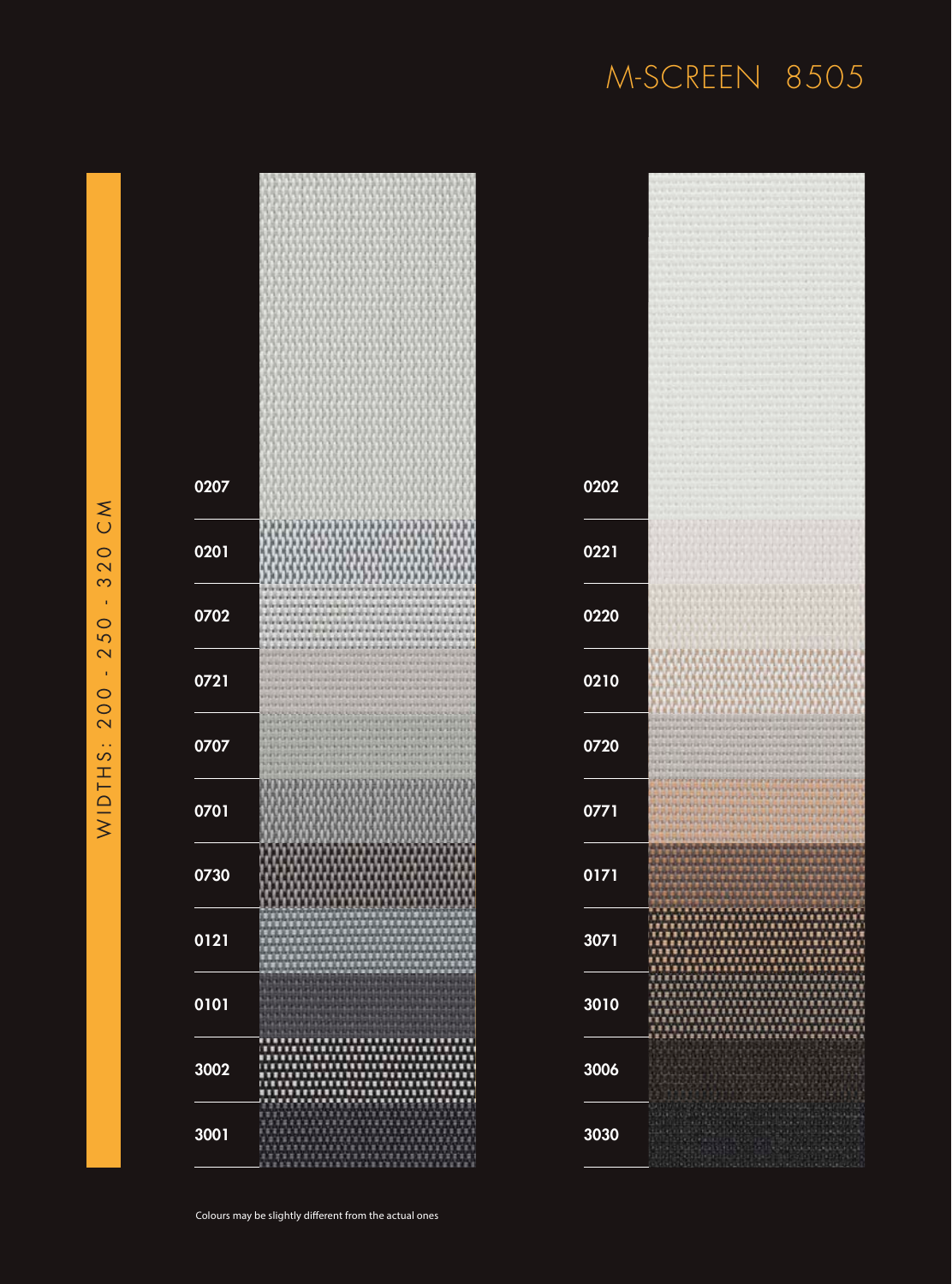## M-SCREEN 8505

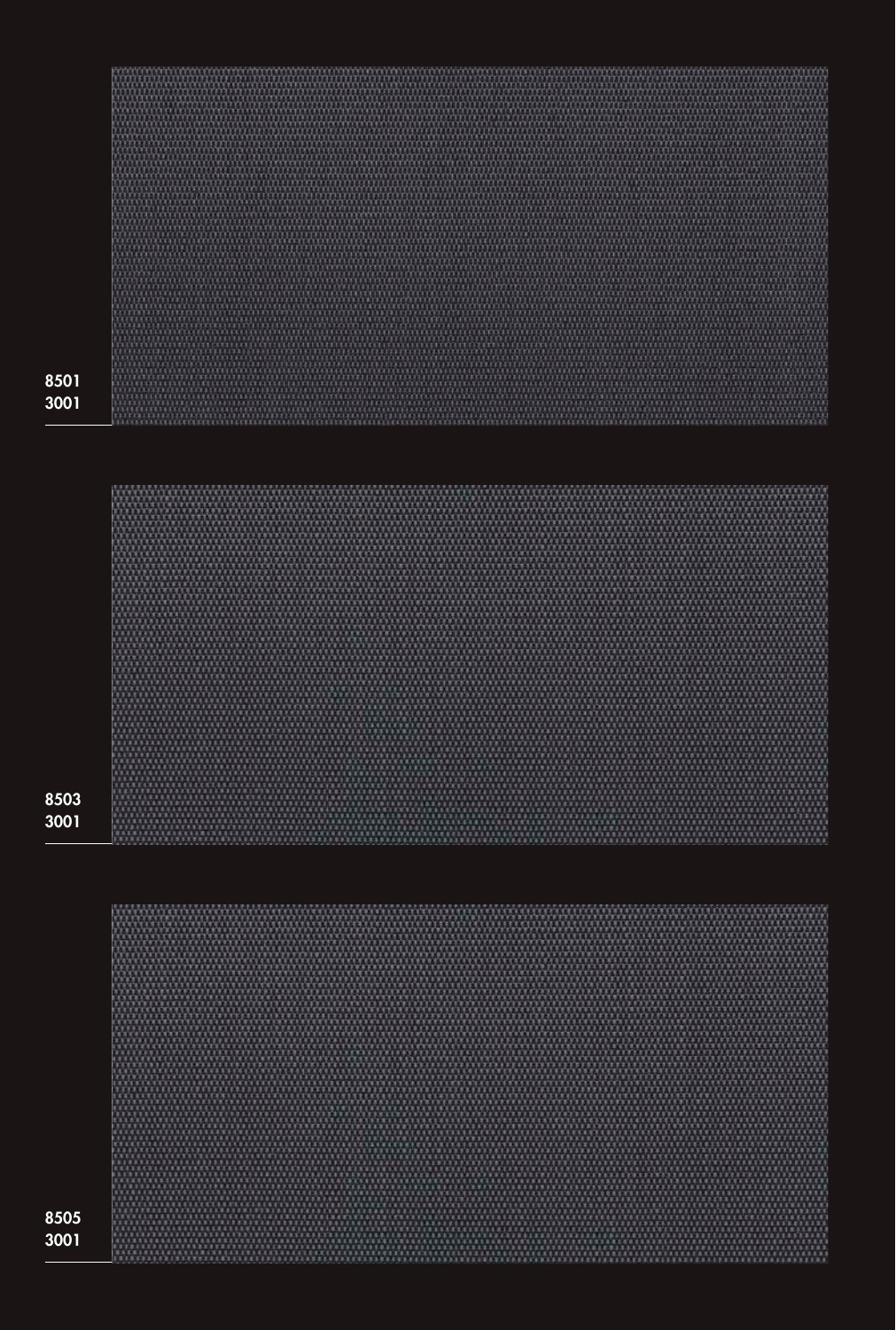